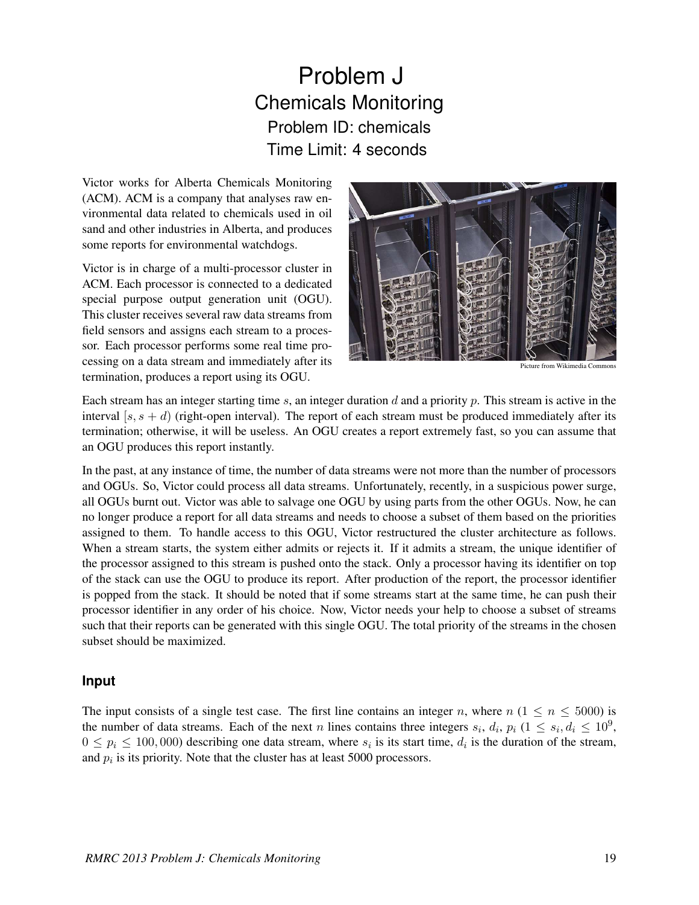## Problem J Chemicals Monitoring Problem ID: chemicals Time Limit: 4 seconds

Victor works for Alberta Chemicals Monitoring (ACM). ACM is a company that analyses raw environmental data related to chemicals used in oil sand and other industries in Alberta, and produces some reports for environmental watchdogs.

Victor is in charge of a multi-processor cluster in ACM. Each processor is connected to a dedicated special purpose output generation unit (OGU). This cluster receives several raw data streams from field sensors and assigns each stream to a processor. Each processor performs some real time processing on a data stream and immediately after its termination, produces a report using its OGU.



Picture from Wikimedia Commons

Each stream has an integer starting time s, an integer duration d and a priority p. This stream is active in the interval  $[s, s + d)$  (right-open interval). The report of each stream must be produced immediately after its termination; otherwise, it will be useless. An OGU creates a report extremely fast, so you can assume that an OGU produces this report instantly.

In the past, at any instance of time, the number of data streams were not more than the number of processors and OGUs. So, Victor could process all data streams. Unfortunately, recently, in a suspicious power surge, all OGUs burnt out. Victor was able to salvage one OGU by using parts from the other OGUs. Now, he can no longer produce a report for all data streams and needs to choose a subset of them based on the priorities assigned to them. To handle access to this OGU, Victor restructured the cluster architecture as follows. When a stream starts, the system either admits or rejects it. If it admits a stream, the unique identifier of the processor assigned to this stream is pushed onto the stack. Only a processor having its identifier on top of the stack can use the OGU to produce its report. After production of the report, the processor identifier is popped from the stack. It should be noted that if some streams start at the same time, he can push their processor identifier in any order of his choice. Now, Victor needs your help to choose a subset of streams such that their reports can be generated with this single OGU. The total priority of the streams in the chosen subset should be maximized.

## **Input**

The input consists of a single test case. The first line contains an integer n, where  $n (1 \le n \le 5000)$  is the number of data streams. Each of the next n lines contains three integers  $s_i$ ,  $d_i$ ,  $p_i$  ( $1 \leq s_i$ ,  $d_i \leq 10^9$ ,  $0 \leq p_i \leq 100,000$  describing one data stream, where  $s_i$  is its start time,  $d_i$  is the duration of the stream, and  $p_i$  is its priority. Note that the cluster has at least 5000 processors.